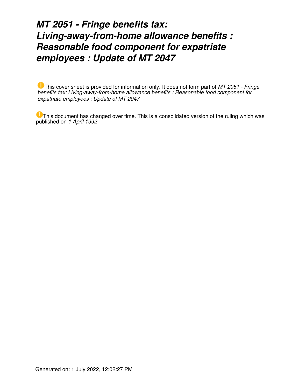# *MT 2051 - Fringe benefits tax: Living-away-from-home allowance benefits : Reasonable food component for expatriate employees : Update of MT 2047*

This cover sheet is provided for information only. It does not form part of *MT 2051 - Fringe benefits tax: Living-away-from-home allowance benefits : Reasonable food component for expatriate employees : Update of MT 2047*

This document has changed over time. This is a consolidated version of the ruling which was published on *1 April 1992*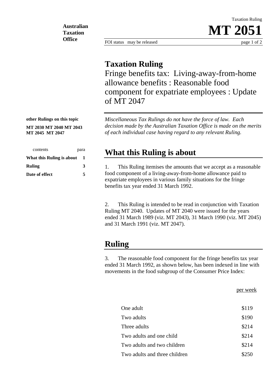**Australian Taxation Office**

FOI status may be released page 1 of 2

Taxation Ruling

**MT 2051**

#### **Taxation Ruling**

Fringe benefits tax: Living-away-from-home allowance benefits : Reasonable food component for expatriate employees : Update of MT 2047

*Miscellaneous Tax Rulings do not have the force of law. Each decision made by the Australian Taxation Office is made on the merits of each individual case having regard to any relevant Ruling.*

#### **What this Ruling is about**

1. This Ruling itemises the amounts that we accept as a reasonable food component of a living-away-from-home allowance paid to expatriate employees in various family situations for the fringe benefits tax year ended 31 March 1992.

2. This Ruling is intended to be read in conjunction with Taxation Ruling MT 2040. Updates of MT 2040 were issued for the years ended 31 March 1989 (viz. MT 2043), 31 March 1990 (viz. MT 2045) and 31 March 1991 (viz. MT 2047).

## **Ruling**

3. The reasonable food component for the fringe benefits tax year ended 31 March 1992, as shown below, has been indexed in line with movements in the food subgroup of the Consumer Price Index:

per week

| One adult                     | \$119 |
|-------------------------------|-------|
| Two adults                    | \$190 |
| Three adults                  | \$214 |
| Two adults and one child      | \$214 |
| Two adults and two children   | \$214 |
| Two adults and three children | \$250 |
|                               |       |

**other Rulings on this topic**

**MT 2030 MT 2040 MT 2043 MT 2045 MT 2047**

| contents                  | para |  |
|---------------------------|------|--|
| What this Ruling is about | 1    |  |
| <b>Ruling</b>             | 3    |  |
| Date of effect            | 5    |  |